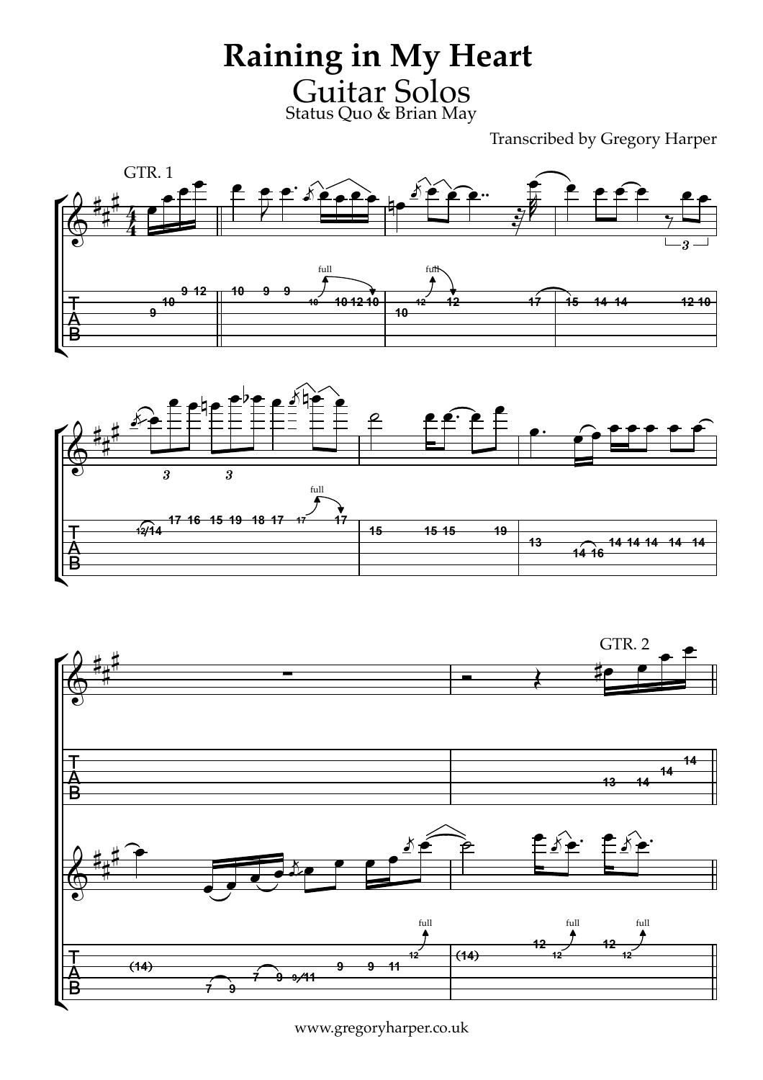**Raining in My Heart** Guitar Solos Status Quo & Brian May

Transcribed by Gregory Harper







www.gregoryharper.co.uk